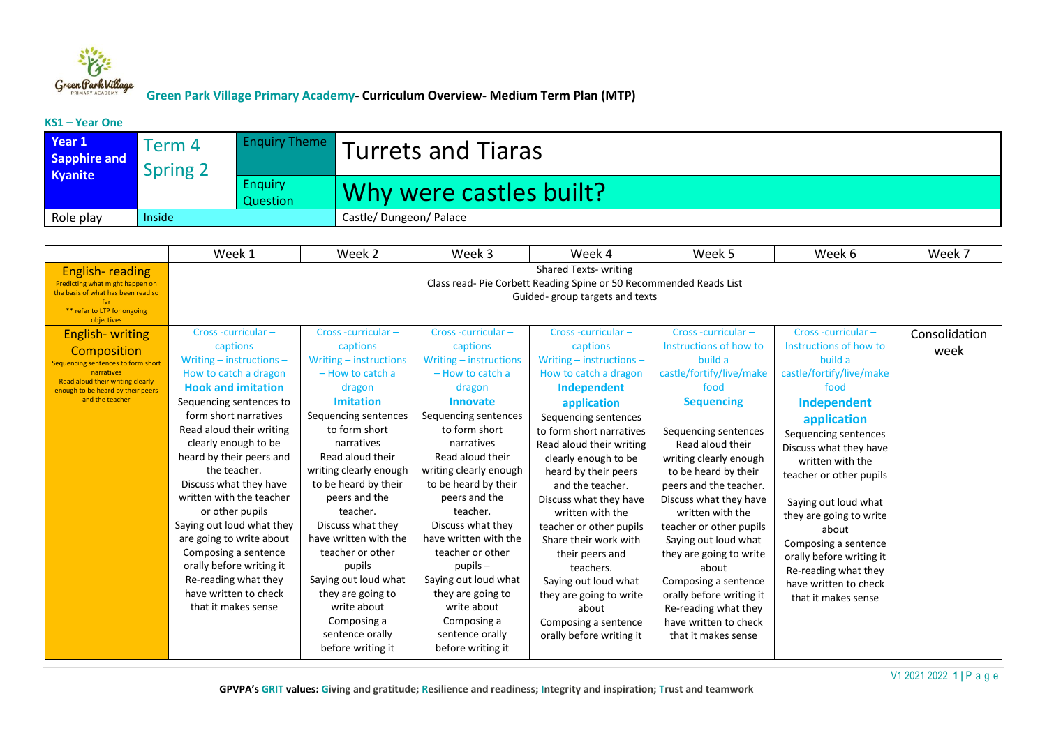

#### **KS1 – Year One**

| Year 1<br>Sapphire and<br>Kyanite | Term 4<br><b>Spring 2</b> | <b>Enquiry Theme</b>       | Turrets and Tiaras      |
|-----------------------------------|---------------------------|----------------------------|-------------------------|
|                                   |                           | <b>Enquiry</b><br>Question | Why were castles built? |
| Role play                         | Inside                    |                            | Castle/Dungeon/Palace   |

|                                                                                                                                                                                        | Week 1                                                                                                                                                                                                                                                                                                                                                                                                                                                                                                                                | Week 2                                                                                                                                                                                                                                                                                                                                                                                                                                                               | Week 3                                                                                                                                                                                                                                                                                                                                                                                                                                                                     | Week 4                                                                                                                                                                                                                                                                                                                                                                                                                                                                                                                            | Week 5                                                                                                                                                                                                                                                                                                                                                                                                                                                                                                   | Week 6                                                                                                                                                                                                                                                                                                                                                                                                            | Week 7                |
|----------------------------------------------------------------------------------------------------------------------------------------------------------------------------------------|---------------------------------------------------------------------------------------------------------------------------------------------------------------------------------------------------------------------------------------------------------------------------------------------------------------------------------------------------------------------------------------------------------------------------------------------------------------------------------------------------------------------------------------|----------------------------------------------------------------------------------------------------------------------------------------------------------------------------------------------------------------------------------------------------------------------------------------------------------------------------------------------------------------------------------------------------------------------------------------------------------------------|----------------------------------------------------------------------------------------------------------------------------------------------------------------------------------------------------------------------------------------------------------------------------------------------------------------------------------------------------------------------------------------------------------------------------------------------------------------------------|-----------------------------------------------------------------------------------------------------------------------------------------------------------------------------------------------------------------------------------------------------------------------------------------------------------------------------------------------------------------------------------------------------------------------------------------------------------------------------------------------------------------------------------|----------------------------------------------------------------------------------------------------------------------------------------------------------------------------------------------------------------------------------------------------------------------------------------------------------------------------------------------------------------------------------------------------------------------------------------------------------------------------------------------------------|-------------------------------------------------------------------------------------------------------------------------------------------------------------------------------------------------------------------------------------------------------------------------------------------------------------------------------------------------------------------------------------------------------------------|-----------------------|
| English-reading<br>Predicting what might happen on<br>the basis of what has been read so<br>far<br>** refer to LTP for ongoing<br>objectives                                           |                                                                                                                                                                                                                                                                                                                                                                                                                                                                                                                                       |                                                                                                                                                                                                                                                                                                                                                                                                                                                                      |                                                                                                                                                                                                                                                                                                                                                                                                                                                                            | Shared Texts-writing<br>Class read- Pie Corbett Reading Spine or 50 Recommended Reads List<br>Guided-group targets and texts                                                                                                                                                                                                                                                                                                                                                                                                      |                                                                                                                                                                                                                                                                                                                                                                                                                                                                                                          |                                                                                                                                                                                                                                                                                                                                                                                                                   |                       |
| <b>English-</b> writing<br>Composition<br>Sequencing sentences to form short<br>narratives<br>Read aloud their writing clearly<br>enough to be heard by their peers<br>and the teacher | Cross-curricular-<br>captions<br>Writing $-$ instructions $-$<br>How to catch a dragon<br><b>Hook and imitation</b><br>Sequencing sentences to<br>form short narratives<br>Read aloud their writing<br>clearly enough to be<br>heard by their peers and<br>the teacher.<br>Discuss what they have<br>written with the teacher<br>or other pupils<br>Saying out loud what they<br>are going to write about<br>Composing a sentence<br>orally before writing it<br>Re-reading what they<br>have written to check<br>that it makes sense | Cross-curricular-<br>captions<br>Writing - instructions<br>$-$ How to catch a<br>dragon<br><b>Imitation</b><br>Sequencing sentences<br>to form short<br>narratives<br>Read aloud their<br>writing clearly enough<br>to be heard by their<br>peers and the<br>teacher.<br>Discuss what they<br>have written with the<br>teacher or other<br>pupils<br>Saying out loud what<br>they are going to<br>write about<br>Composing a<br>sentence orally<br>before writing it | Cross-curricular-<br>captions<br>Writing - instructions<br>$-$ How to catch a<br>dragon<br><b>Innovate</b><br>Sequencing sentences<br>to form short<br>narratives<br>Read aloud their<br>writing clearly enough<br>to be heard by their<br>peers and the<br>teacher.<br>Discuss what they<br>have written with the<br>teacher or other<br>$p$ upils $-$<br>Saying out loud what<br>they are going to<br>write about<br>Composing a<br>sentence orally<br>before writing it | Cross-curricular-<br>captions<br>Writing $-$ instructions $-$<br>How to catch a dragon<br><b>Independent</b><br>application<br>Sequencing sentences<br>to form short narratives<br>Read aloud their writing<br>clearly enough to be<br>heard by their peers<br>and the teacher.<br>Discuss what they have<br>written with the<br>teacher or other pupils<br>Share their work with<br>their peers and<br>teachers.<br>Saying out loud what<br>they are going to write<br>about<br>Composing a sentence<br>orally before writing it | Cross-curricular-<br>Instructions of how to<br>build a<br>castle/fortify/live/make<br>food<br><b>Sequencing</b><br>Sequencing sentences<br>Read aloud their<br>writing clearly enough<br>to be heard by their<br>peers and the teacher.<br>Discuss what they have<br>written with the<br>teacher or other pupils<br>Saying out loud what<br>they are going to write<br>about<br>Composing a sentence<br>orally before writing it<br>Re-reading what they<br>have written to check<br>that it makes sense | Cross-curricular-<br>Instructions of how to<br>build a<br>castle/fortify/live/make<br>food<br>Independent<br>application<br>Sequencing sentences<br>Discuss what they have<br>written with the<br>teacher or other pupils<br>Saying out loud what<br>they are going to write<br>about<br>Composing a sentence<br>orally before writing it<br>Re-reading what they<br>have written to check<br>that it makes sense | Consolidation<br>week |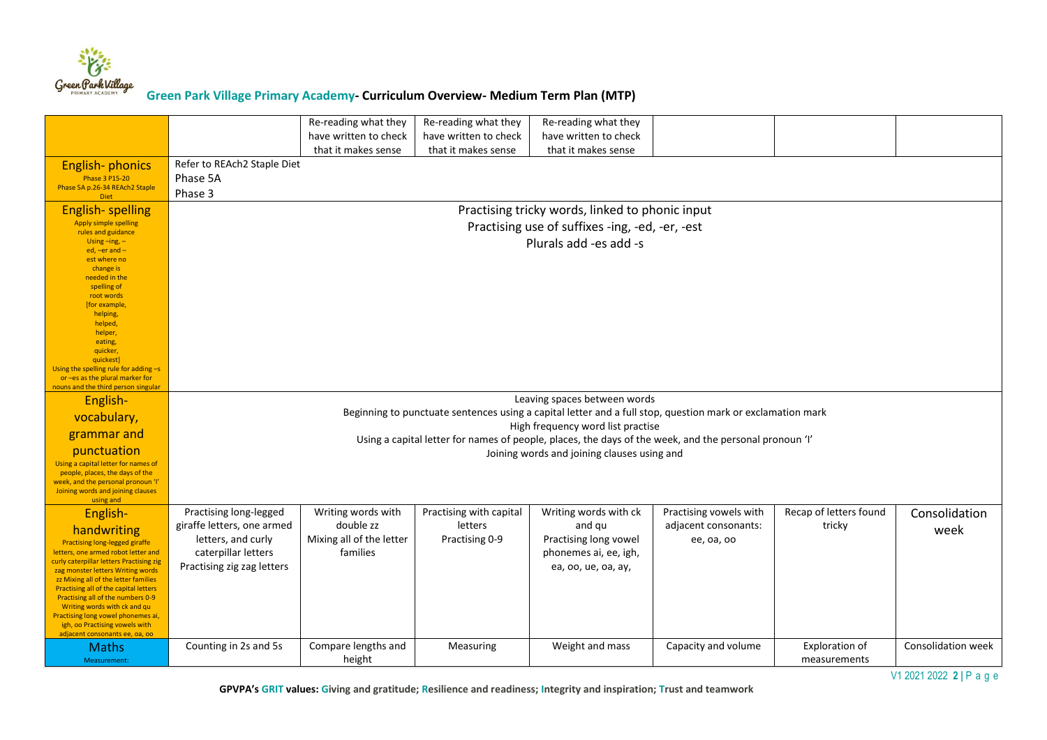

|                                                                                                                                                                                                                                                                                                                                                                                                                                                          |                                                                                                                                                                                            | Re-reading what they<br>have written to check<br>that it makes sense    | Re-reading what they<br>have written to check<br>that it makes sense | Re-reading what they<br>have written to check<br>that it makes sense                                     |                                                              |                                  |                       |  |  |  |
|----------------------------------------------------------------------------------------------------------------------------------------------------------------------------------------------------------------------------------------------------------------------------------------------------------------------------------------------------------------------------------------------------------------------------------------------------------|--------------------------------------------------------------------------------------------------------------------------------------------------------------------------------------------|-------------------------------------------------------------------------|----------------------------------------------------------------------|----------------------------------------------------------------------------------------------------------|--------------------------------------------------------------|----------------------------------|-----------------------|--|--|--|
| <b>English-phonics</b><br><b>Phase 3 P15-20</b><br>Phase 5A p.26-34 REAch2 Staple<br><b>Diet</b>                                                                                                                                                                                                                                                                                                                                                         | Refer to REAch2 Staple Diet<br>Phase 5A<br>Phase 3                                                                                                                                         |                                                                         |                                                                      |                                                                                                          |                                                              |                                  |                       |  |  |  |
| <b>English-spelling</b><br><b>Apply simple spelling</b><br>rules and guidance<br>Using $-$ ing, $-$<br>ed, $-er$ and $-$<br>est where no<br>change is<br>needed in the<br>spelling of<br>root words<br>[for example,<br>helping,<br>helped,<br>helper,<br>eating,<br>quicker,<br>quickest]<br>Using the spelling rule for adding -s<br>or -es as the plural marker for<br>nouns and the third person singular                                            | Practising tricky words, linked to phonic input<br>Practising use of suffixes -ing, -ed, -er, -est<br>Plurals add -es add -s                                                               |                                                                         |                                                                      |                                                                                                          |                                                              |                                  |                       |  |  |  |
| English-<br>vocabulary,                                                                                                                                                                                                                                                                                                                                                                                                                                  | Leaving spaces between words<br>Beginning to punctuate sentences using a capital letter and a full stop, question mark or exclamation mark                                                 |                                                                         |                                                                      |                                                                                                          |                                                              |                                  |                       |  |  |  |
| grammar and<br>punctuation<br>Using a capital letter for names of<br>people, places, the days of the<br>week, and the personal pronoun 'I'<br>Joining words and joining clauses<br>using and                                                                                                                                                                                                                                                             | High frequency word list practise<br>Using a capital letter for names of people, places, the days of the week, and the personal pronoun 'I'<br>Joining words and joining clauses using and |                                                                         |                                                                      |                                                                                                          |                                                              |                                  |                       |  |  |  |
| English-<br>handwriting<br><b>Practising long-legged giraffe</b><br>letters, one armed robot letter and<br>curly caterpillar letters Practising zig<br>zag monster letters Writing words<br>zz Mixing all of the letter families<br>Practising all of the capital letters<br>Practising all of the numbers 0-9<br>Writing words with ck and qu<br>Practising long vowel phonemes ai,<br>igh, oo Practising vowels with<br>adjacent consonants ee, oa, oo | Practising long-legged<br>giraffe letters, one armed<br>letters, and curly<br>caterpillar letters<br>Practising zig zag letters                                                            | Writing words with<br>double zz<br>Mixing all of the letter<br>families | Practising with capital<br>letters<br>Practising 0-9                 | Writing words with ck<br>and qu<br>Practising long vowel<br>phonemes ai, ee, igh,<br>ea, oo, ue, oa, ay, | Practising vowels with<br>adjacent consonants:<br>ee, oa, oo | Recap of letters found<br>tricky | Consolidation<br>week |  |  |  |
| <b>Maths</b><br>Measurement:                                                                                                                                                                                                                                                                                                                                                                                                                             | Counting in 2s and 5s                                                                                                                                                                      | Compare lengths and<br>height                                           | Measuring                                                            | Weight and mass                                                                                          | Capacity and volume                                          | Exploration of<br>measurements   | Consolidation week    |  |  |  |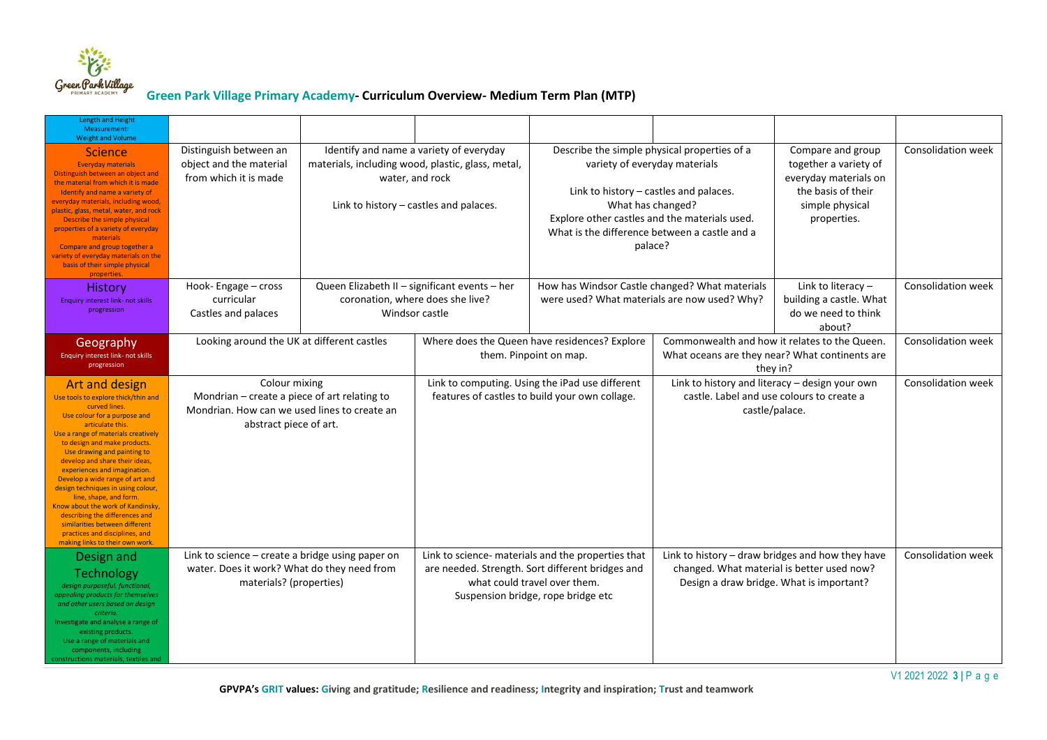

| <b>Length and Height</b><br>Measurement:<br><b>Weight and Volume</b>                                                                                                                                                                                                                                                                                                                                                                                                                                                                                                                |                                                                                                                                         |                                                                                                                |                                                                                                                                                                              |                                                                                                                                                                                                                                                           |                                                                                                                                            |                                                                                                                             |                           |
|-------------------------------------------------------------------------------------------------------------------------------------------------------------------------------------------------------------------------------------------------------------------------------------------------------------------------------------------------------------------------------------------------------------------------------------------------------------------------------------------------------------------------------------------------------------------------------------|-----------------------------------------------------------------------------------------------------------------------------------------|----------------------------------------------------------------------------------------------------------------|------------------------------------------------------------------------------------------------------------------------------------------------------------------------------|-----------------------------------------------------------------------------------------------------------------------------------------------------------------------------------------------------------------------------------------------------------|--------------------------------------------------------------------------------------------------------------------------------------------|-----------------------------------------------------------------------------------------------------------------------------|---------------------------|
| <b>Science</b><br><b>Everyday materials</b><br>Distinguish between an object and<br>the material from which it is made<br>Identify and name a variety of<br>everyday materials, including wood,<br>plastic, glass, metal, water, and rock<br>Describe the simple physical<br>properties of a variety of everyday<br>materials<br>Compare and group together a<br>variety of everyday materials on the<br>basis of their simple physical<br>properties.                                                                                                                              | Distinguish between an<br>object and the material<br>from which it is made                                                              | materials, including wood, plastic, glass, metal,<br>water, and rock<br>Link to history - castles and palaces. | Identify and name a variety of everyday                                                                                                                                      | Describe the simple physical properties of a<br>variety of everyday materials<br>Link to history - castles and palaces.<br>What has changed?<br>Explore other castles and the materials used.<br>What is the difference between a castle and a<br>palace? |                                                                                                                                            | Compare and group<br>together a variety of<br>everyday materials on<br>the basis of their<br>simple physical<br>properties. | Consolidation week        |
| <b>History</b><br><b>Enquiry interest link- not skills</b><br>progression                                                                                                                                                                                                                                                                                                                                                                                                                                                                                                           | Hook-Engage - cross<br>curricular<br>Castles and palaces                                                                                | Queen Elizabeth II - significant events - her<br>coronation, where does she live?<br>Windsor castle            |                                                                                                                                                                              | How has Windsor Castle changed? What materials<br>were used? What materials are now used? Why?                                                                                                                                                            |                                                                                                                                            | Link to literacy $-$<br>building a castle. What<br>do we need to think<br>about?                                            | Consolidation week        |
| Geography<br>Enquiry interest link- not skills<br>progression                                                                                                                                                                                                                                                                                                                                                                                                                                                                                                                       | Looking around the UK at different castles                                                                                              |                                                                                                                | Where does the Queen have residences? Explore<br>them. Pinpoint on map.                                                                                                      |                                                                                                                                                                                                                                                           | Commonwealth and how it relates to the Queen.<br>What oceans are they near? What continents are<br>they in?                                |                                                                                                                             | <b>Consolidation week</b> |
| Art and design<br>Use tools to explore thick/thin and<br>curved lines.<br>Use colour for a purpose and<br>articulate this.<br>Use a range of materials creatively<br>to design and make products.<br>Use drawing and painting to<br>develop and share their ideas,<br>experiences and imagination.<br>Develop a wide range of art and<br>design techniques in using colour,<br>line, shape, and form.<br>Know about the work of Kandinsky,<br>describing the differences and<br>similarities between different<br>practices and disciplines, and<br>making links to their own work. | Colour mixing<br>Mondrian - create a piece of art relating to<br>Mondrian. How can we used lines to create an<br>abstract piece of art. |                                                                                                                | Link to computing. Using the iPad use different                                                                                                                              | features of castles to build your own collage.                                                                                                                                                                                                            |                                                                                                                                            | Link to history and literacy - design your own<br>castle. Label and use colours to create a<br>castle/palace.               | Consolidation week        |
| Design and<br>Technology<br>design purposeful, functional,<br>appealing products for themselves<br>and other users based on design<br>criteria.<br>Investigate and analyse a range of<br>existing products.<br>Use a range of materials and<br>components, including<br>constructions materials, textiles and                                                                                                                                                                                                                                                                       | Link to science - create a bridge using paper on<br>water. Does it work? What do they need from<br>materials? (properties)              |                                                                                                                | Link to science- materials and the properties that<br>are needed. Strength. Sort different bridges and<br>what could travel over them.<br>Suspension bridge, rope bridge etc |                                                                                                                                                                                                                                                           | Link to history - draw bridges and how they have<br>changed. What material is better used now?<br>Design a draw bridge. What is important? |                                                                                                                             | Consolidation week        |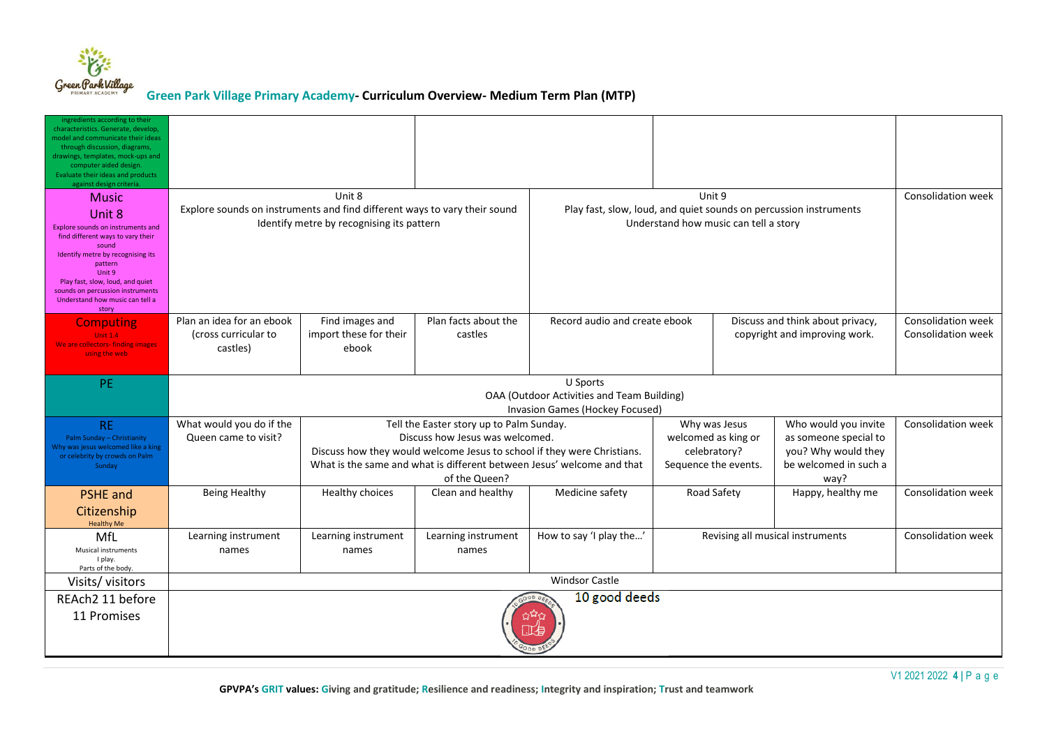

| ingredients according to their<br>characteristics. Generate, develop,<br>model and communicate their ideas<br>through discussion, diagrams,<br>drawings, templates, mock-ups and<br>computer aided design.<br>Evaluate their ideas and products<br>against design criteria.             |                                                                                                                                  |                                                    |                                                                                              |                                                                                                                                                   |                                                                              |  |                                                                                                       |                                                 |
|-----------------------------------------------------------------------------------------------------------------------------------------------------------------------------------------------------------------------------------------------------------------------------------------|----------------------------------------------------------------------------------------------------------------------------------|----------------------------------------------------|----------------------------------------------------------------------------------------------|---------------------------------------------------------------------------------------------------------------------------------------------------|------------------------------------------------------------------------------|--|-------------------------------------------------------------------------------------------------------|-------------------------------------------------|
| <b>Music</b><br>Unit 8<br>Explore sounds on instruments and<br>find different ways to vary their<br>sound<br>Identify metre by recognising its<br>pattern<br>Unit 9<br>Play fast, slow, loud, and quiet<br>sounds on percussion instruments<br>Understand how music can tell a<br>story | Unit 8<br>Explore sounds on instruments and find different ways to vary their sound<br>Identify metre by recognising its pattern |                                                    |                                                                                              | Unit 9<br>Play fast, slow, loud, and quiet sounds on percussion instruments<br>Understand how music can tell a story                              |                                                                              |  |                                                                                                       | Consolidation week                              |
| <b>Computing</b><br><b>Unit 1.4</b><br>We are collectors- finding images<br>using the web                                                                                                                                                                                               | Plan an idea for an ebook<br>(cross curricular to<br>castles)                                                                    | Find images and<br>import these for their<br>ebook | Plan facts about the<br>castles                                                              | Record audio and create ebook                                                                                                                     | Discuss and think about privacy,<br>copyright and improving work.            |  |                                                                                                       | Consolidation week<br><b>Consolidation week</b> |
| <b>PE</b>                                                                                                                                                                                                                                                                               | U Sports<br>OAA (Outdoor Activities and Team Building)<br>Invasion Games (Hockey Focused)                                        |                                                    |                                                                                              |                                                                                                                                                   |                                                                              |  |                                                                                                       |                                                 |
| <b>RE</b><br>Palm Sunday - Christianity<br>Why was jesus welcomed like a king<br>or celebrity by crowds on Palm<br>Sunday                                                                                                                                                               | What would you do if the<br>Queen came to visit?                                                                                 |                                                    | Tell the Easter story up to Palm Sunday.<br>Discuss how Jesus was welcomed.<br>of the Queen? | Discuss how they would welcome Jesus to school if they were Christians.<br>What is the same and what is different between Jesus' welcome and that | Why was Jesus<br>welcomed as king or<br>celebratory?<br>Sequence the events. |  | Who would you invite<br>as someone special to<br>you? Why would they<br>be welcomed in such a<br>way? | Consolidation week                              |
| <b>PSHE</b> and<br>Citizenship<br><b>Healthy Me</b>                                                                                                                                                                                                                                     | Being Healthy                                                                                                                    | Healthy choices                                    | Clean and healthy                                                                            | Medicine safety                                                                                                                                   | Road Safety                                                                  |  | Happy, healthy me                                                                                     | <b>Consolidation week</b>                       |
| MfL<br><b>Musical instruments</b><br>I play.<br>Parts of the body.                                                                                                                                                                                                                      | Learning instrument<br>names                                                                                                     | Learning instrument<br>names                       | Learning instrument<br>names                                                                 | How to say 'I play the'                                                                                                                           | Revising all musical instruments                                             |  | <b>Consolidation week</b>                                                                             |                                                 |
| Visits/visitors                                                                                                                                                                                                                                                                         | <b>Windsor Castle</b>                                                                                                            |                                                    |                                                                                              |                                                                                                                                                   |                                                                              |  |                                                                                                       |                                                 |
| REAch2 11 before<br>11 Promises                                                                                                                                                                                                                                                         | 10 good deeds<br>00D0E                                                                                                           |                                                    |                                                                                              |                                                                                                                                                   |                                                                              |  |                                                                                                       |                                                 |